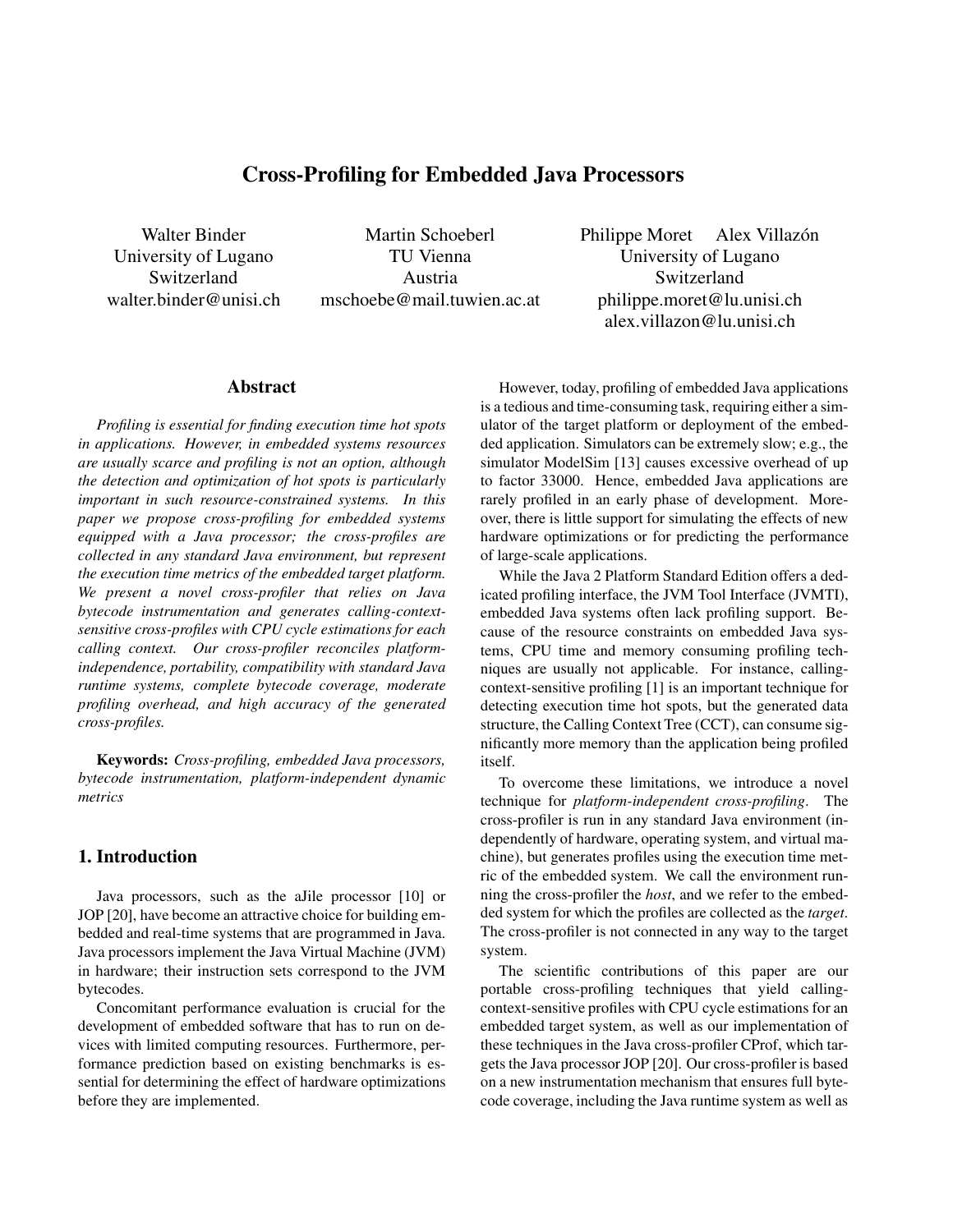# Cross-Profiling for Embedded Java Processors

Walter Binder University of Lugano Switzerland walter.binder@unisi.ch

Martin Schoeberl TU Vienna Austria mschoebe@mail.tuwien.ac.at Philippe Moret Alex Villazón University of Lugano Switzerland philippe.moret@lu.unisi.ch alex.villazon@lu.unisi.ch

# Abstract

*Profiling is essential for finding execution time hot spots in applications. However, in embedded systems resources are usually scarce and profiling is not an option, although the detection and optimization of hot spots is particularly important in such resource-constrained systems. In this paper we propose cross-profiling for embedded systems equipped with a Java processor; the cross-profiles are collected in any standard Java environment, but represent the execution time metrics of the embedded target platform. We present a novel cross-profiler that relies on Java bytecode instrumentation and generates calling-contextsensitive cross-profiles with CPU cycle estimations for each calling context. Our cross-profiler reconciles platformindependence, portability, compatibility with standard Java runtime systems, complete bytecode coverage, moderate profiling overhead, and high accuracy of the generated cross-profiles.*

Keywords: *Cross-profiling, embedded Java processors, bytecode instrumentation, platform-independent dynamic metrics*

# 1. Introduction

Java processors, such as the aJile processor [10] or JOP [20], have become an attractive choice for building embedded and real-time systems that are programmed in Java. Java processors implement the Java Virtual Machine (JVM) in hardware; their instruction sets correspond to the JVM bytecodes.

Concomitant performance evaluation is crucial for the development of embedded software that has to run on devices with limited computing resources. Furthermore, performance prediction based on existing benchmarks is essential for determining the effect of hardware optimizations before they are implemented.

However, today, profiling of embedded Java applications is a tedious and time-consuming task, requiring either a simulator of the target platform or deployment of the embedded application. Simulators can be extremely slow; e.g., the simulator ModelSim [13] causes excessive overhead of up to factor 33000. Hence, embedded Java applications are rarely profiled in an early phase of development. Moreover, there is little support for simulating the effects of new hardware optimizations or for predicting the performance of large-scale applications.

While the Java 2 Platform Standard Edition offers a dedicated profiling interface, the JVM Tool Interface (JVMTI), embedded Java systems often lack profiling support. Because of the resource constraints on embedded Java systems, CPU time and memory consuming profiling techniques are usually not applicable. For instance, callingcontext-sensitive profiling [1] is an important technique for detecting execution time hot spots, but the generated data structure, the Calling Context Tree (CCT), can consume significantly more memory than the application being profiled itself.

To overcome these limitations, we introduce a novel technique for *platform-independent cross-profiling*. The cross-profiler is run in any standard Java environment (independently of hardware, operating system, and virtual machine), but generates profiles using the execution time metric of the embedded system. We call the environment running the cross-profiler the *host*, and we refer to the embedded system for which the profiles are collected as the *target*. The cross-profiler is not connected in any way to the target system.

The scientific contributions of this paper are our portable cross-profiling techniques that yield callingcontext-sensitive profiles with CPU cycle estimations for an embedded target system, as well as our implementation of these techniques in the Java cross-profiler CProf, which targets the Java processor JOP [20]. Our cross-profiler is based on a new instrumentation mechanism that ensures full bytecode coverage, including the Java runtime system as well as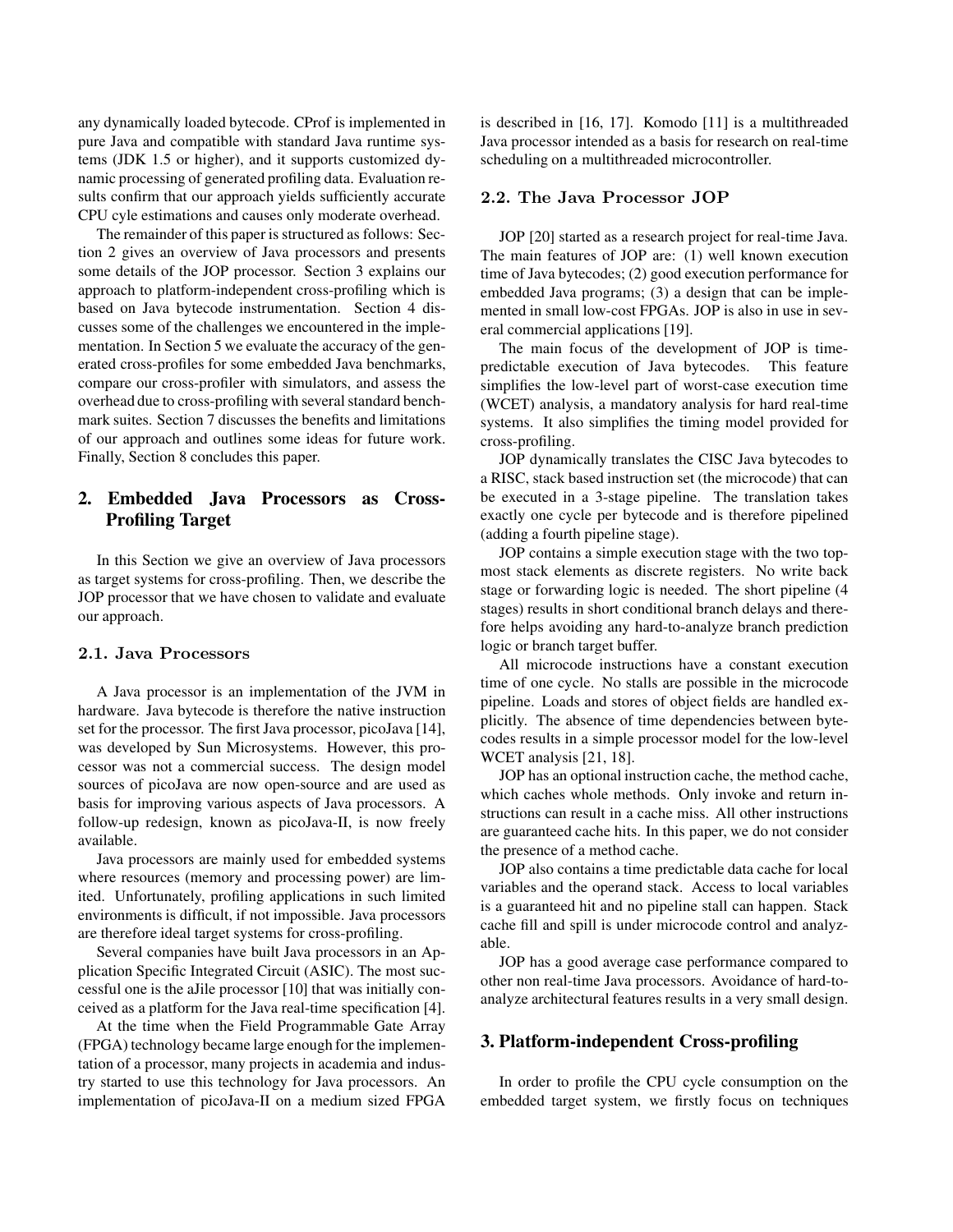any dynamically loaded bytecode. CProf is implemented in pure Java and compatible with standard Java runtime systems (JDK 1.5 or higher), and it supports customized dynamic processing of generated profiling data. Evaluation results confirm that our approach yields sufficiently accurate CPU cyle estimations and causes only moderate overhead.

The remainder of this paper is structured as follows: Section 2 gives an overview of Java processors and presents some details of the JOP processor. Section 3 explains our approach to platform-independent cross-profiling which is based on Java bytecode instrumentation. Section 4 discusses some of the challenges we encountered in the implementation. In Section 5 we evaluate the accuracy of the generated cross-profiles for some embedded Java benchmarks, compare our cross-profiler with simulators, and assess the overhead due to cross-profiling with several standard benchmark suites. Section 7 discusses the benefits and limitations of our approach and outlines some ideas for future work. Finally, Section 8 concludes this paper.

# 2. Embedded Java Processors as Cross-Profiling Target

In this Section we give an overview of Java processors as target systems for cross-profiling. Then, we describe the JOP processor that we have chosen to validate and evaluate our approach.

## **2.1. Java Processors**

A Java processor is an implementation of the JVM in hardware. Java bytecode is therefore the native instruction set for the processor. The first Java processor, picoJava [14], was developed by Sun Microsystems. However, this processor was not a commercial success. The design model sources of picoJava are now open-source and are used as basis for improving various aspects of Java processors. A follow-up redesign, known as picoJava-II, is now freely available.

Java processors are mainly used for embedded systems where resources (memory and processing power) are limited. Unfortunately, profiling applications in such limited environments is difficult, if not impossible. Java processors are therefore ideal target systems for cross-profiling.

Several companies have built Java processors in an Application Specific Integrated Circuit (ASIC). The most successful one is the aJile processor [10] that was initially conceived as a platform for the Java real-time specification [4].

At the time when the Field Programmable Gate Array (FPGA) technology became large enough for the implementation of a processor, many projects in academia and industry started to use this technology for Java processors. An implementation of picoJava-II on a medium sized FPGA

is described in [16, 17]. Komodo [11] is a multithreaded Java processor intended as a basis for research on real-time scheduling on a multithreaded microcontroller.

#### **2.2. The Java Processor JOP**

JOP [20] started as a research project for real-time Java. The main features of JOP are: (1) well known execution time of Java bytecodes; (2) good execution performance for embedded Java programs; (3) a design that can be implemented in small low-cost FPGAs. JOP is also in use in several commercial applications [19].

The main focus of the development of JOP is timepredictable execution of Java bytecodes. This feature simplifies the low-level part of worst-case execution time (WCET) analysis, a mandatory analysis for hard real-time systems. It also simplifies the timing model provided for cross-profiling.

JOP dynamically translates the CISC Java bytecodes to a RISC, stack based instruction set (the microcode) that can be executed in a 3-stage pipeline. The translation takes exactly one cycle per bytecode and is therefore pipelined (adding a fourth pipeline stage).

JOP contains a simple execution stage with the two topmost stack elements as discrete registers. No write back stage or forwarding logic is needed. The short pipeline (4 stages) results in short conditional branch delays and therefore helps avoiding any hard-to-analyze branch prediction logic or branch target buffer.

All microcode instructions have a constant execution time of one cycle. No stalls are possible in the microcode pipeline. Loads and stores of object fields are handled explicitly. The absence of time dependencies between bytecodes results in a simple processor model for the low-level WCET analysis [21, 18].

JOP has an optional instruction cache, the method cache, which caches whole methods. Only invoke and return instructions can result in a cache miss. All other instructions are guaranteed cache hits. In this paper, we do not consider the presence of a method cache.

JOP also contains a time predictable data cache for local variables and the operand stack. Access to local variables is a guaranteed hit and no pipeline stall can happen. Stack cache fill and spill is under microcode control and analyzable.

JOP has a good average case performance compared to other non real-time Java processors. Avoidance of hard-toanalyze architectural features results in a very small design.

## 3. Platform-independent Cross-profiling

In order to profile the CPU cycle consumption on the embedded target system, we firstly focus on techniques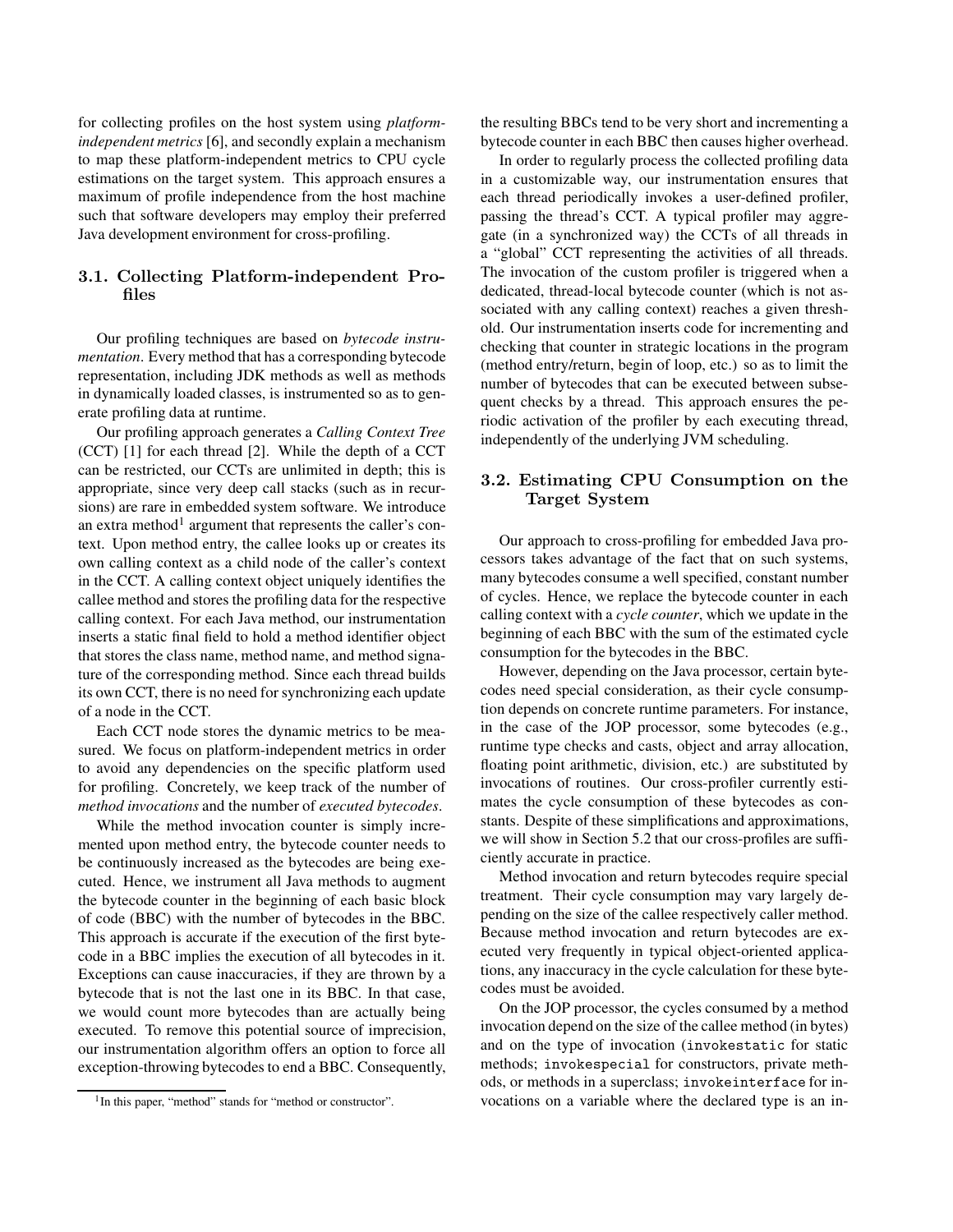for collecting profiles on the host system using *platformindependent metrics* [6], and secondly explain a mechanism to map these platform-independent metrics to CPU cycle estimations on the target system. This approach ensures a maximum of profile independence from the host machine such that software developers may employ their preferred Java development environment for cross-profiling.

## **3.1. Collecting Platform-independent Profiles**

Our profiling techniques are based on *bytecode instrumentation*. Every method that has a corresponding bytecode representation, including JDK methods as well as methods in dynamically loaded classes, is instrumented so as to generate profiling data at runtime.

Our profiling approach generates a *Calling Context Tree* (CCT) [1] for each thread [2]. While the depth of a CCT can be restricted, our CCTs are unlimited in depth; this is appropriate, since very deep call stacks (such as in recursions) are rare in embedded system software. We introduce an extra method<sup>1</sup> argument that represents the caller's context. Upon method entry, the callee looks up or creates its own calling context as a child node of the caller's context in the CCT. A calling context object uniquely identifies the callee method and stores the profiling data for the respective calling context. For each Java method, our instrumentation inserts a static final field to hold a method identifier object that stores the class name, method name, and method signature of the corresponding method. Since each thread builds its own CCT, there is no need for synchronizing each update of a node in the CCT.

Each CCT node stores the dynamic metrics to be measured. We focus on platform-independent metrics in order to avoid any dependencies on the specific platform used for profiling. Concretely, we keep track of the number of *method invocations* and the number of *executed bytecodes*.

While the method invocation counter is simply incremented upon method entry, the bytecode counter needs to be continuously increased as the bytecodes are being executed. Hence, we instrument all Java methods to augment the bytecode counter in the beginning of each basic block of code (BBC) with the number of bytecodes in the BBC. This approach is accurate if the execution of the first bytecode in a BBC implies the execution of all bytecodes in it. Exceptions can cause inaccuracies, if they are thrown by a bytecode that is not the last one in its BBC. In that case, we would count more bytecodes than are actually being executed. To remove this potential source of imprecision, our instrumentation algorithm offers an option to force all exception-throwing bytecodes to end a BBC. Consequently,

the resulting BBCs tend to be very short and incrementing a bytecode counter in each BBC then causes higher overhead.

In order to regularly process the collected profiling data in a customizable way, our instrumentation ensures that each thread periodically invokes a user-defined profiler, passing the thread's CCT. A typical profiler may aggregate (in a synchronized way) the CCTs of all threads in a "global" CCT representing the activities of all threads. The invocation of the custom profiler is triggered when a dedicated, thread-local bytecode counter (which is not associated with any calling context) reaches a given threshold. Our instrumentation inserts code for incrementing and checking that counter in strategic locations in the program (method entry/return, begin of loop, etc.) so as to limit the number of bytecodes that can be executed between subsequent checks by a thread. This approach ensures the periodic activation of the profiler by each executing thread, independently of the underlying JVM scheduling.

# **3.2. Estimating CPU Consumption on the Target System**

Our approach to cross-profiling for embedded Java processors takes advantage of the fact that on such systems, many bytecodes consume a well specified, constant number of cycles. Hence, we replace the bytecode counter in each calling context with a *cycle counter*, which we update in the beginning of each BBC with the sum of the estimated cycle consumption for the bytecodes in the BBC.

However, depending on the Java processor, certain bytecodes need special consideration, as their cycle consumption depends on concrete runtime parameters. For instance, in the case of the JOP processor, some bytecodes (e.g., runtime type checks and casts, object and array allocation, floating point arithmetic, division, etc.) are substituted by invocations of routines. Our cross-profiler currently estimates the cycle consumption of these bytecodes as constants. Despite of these simplifications and approximations, we will show in Section 5.2 that our cross-profiles are sufficiently accurate in practice.

Method invocation and return bytecodes require special treatment. Their cycle consumption may vary largely depending on the size of the callee respectively caller method. Because method invocation and return bytecodes are executed very frequently in typical object-oriented applications, any inaccuracy in the cycle calculation for these bytecodes must be avoided.

On the JOP processor, the cycles consumed by a method invocation depend on the size of the callee method (in bytes) and on the type of invocation (invokestatic for static methods; invokespecial for constructors, private methods, or methods in a superclass; invokeinterface for invocations on a variable where the declared type is an in-

<sup>&</sup>lt;sup>1</sup>In this paper, "method" stands for "method or constructor".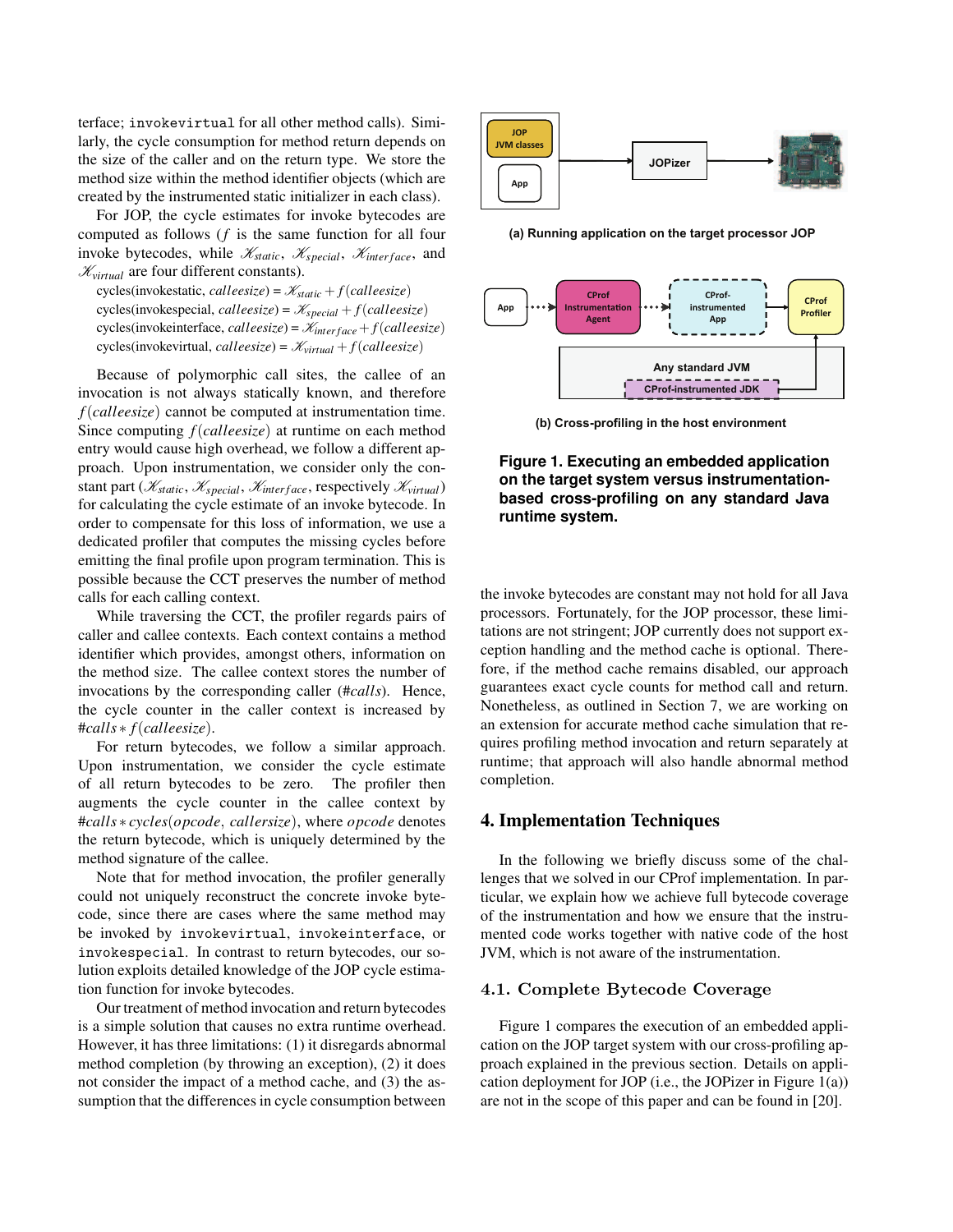terface; invokevirtual for all other method calls). Similarly, the cycle consumption for method return depends on the size of the caller and on the return type. We store the method size within the method identifier objects (which are created by the instrumented static initializer in each class).

For JOP, the cycle estimates for invoke bytecodes are computed as follows (*f* is the same function for all four invoke bytecodes, while *Kstatic*, *Kspecial*, *Kinter f ace*, and *Kvirtual* are four different constants).

cycles(invokestatic, *calleesize*) = *Kstatic* + *f*(*calleesize*) cycles(invokespecial, *calleesize*) = *Kspecial* + *f*(*calleesize*)  $cycles(invoker, *calleesize*) =  $\mathcal{K}_{interface} + f(calleesize)$$ cycles(invokevirtual, *calleesize*) = *Kvirtual* + *f*(*calleesize*)

Because of polymorphic call sites, the callee of an invocation is not always statically known, and therefore *f*(*calleesize*) cannot be computed at instrumentation time. Since computing *f*(*calleesize*) at runtime on each method entry would cause high overhead, we follow a different approach. Upon instrumentation, we consider only the constant part (*Kstatic*, *Kspecial*, *Kinter f ace*, respectively *Kvirtual*) for calculating the cycle estimate of an invoke bytecode. In order to compensate for this loss of information, we use a dedicated profiler that computes the missing cycles before emitting the final profile upon program termination. This is possible because the CCT preserves the number of method calls for each calling context.

While traversing the CCT, the profiler regards pairs of caller and callee contexts. Each context contains a method identifier which provides, amongst others, information on the method size. The callee context stores the number of invocations by the corresponding caller (#*calls*). Hence, the cycle counter in the caller context is increased by #*calls* ∗ *f*(*calleesize*).

For return bytecodes, we follow a similar approach. Upon instrumentation, we consider the cycle estimate of all return bytecodes to be zero. The profiler then augments the cycle counter in the callee context by #*calls* ∗ *cycles*(*opcode, callersize*), where *opcode* denotes the return bytecode, which is uniquely determined by the method signature of the callee.

Note that for method invocation, the profiler generally could not uniquely reconstruct the concrete invoke bytecode, since there are cases where the same method may be invoked by invokevirtual, invokeinterface, or invokespecial. In contrast to return bytecodes, our solution exploits detailed knowledge of the JOP cycle estimation function for invoke bytecodes.

Our treatment of method invocation and return bytecodes is a simple solution that causes no extra runtime overhead. However, it has three limitations: (1) it disregards abnormal method completion (by throwing an exception), (2) it does not consider the impact of a method cache, and (3) the assumption that the differences in cycle consumption between



**(a) Running application on the target processor JOP** 



**(b) Cross-profiling in the host environment**

**Figure 1. Executing an embedded application on the target system versus instrumentationbased cross-profiling on any standard Java runtime system.**

the invoke bytecodes are constant may not hold for all Java processors. Fortunately, for the JOP processor, these limitations are not stringent; JOP currently does not support exception handling and the method cache is optional. Therefore, if the method cache remains disabled, our approach guarantees exact cycle counts for method call and return. Nonetheless, as outlined in Section 7, we are working on an extension for accurate method cache simulation that requires profiling method invocation and return separately at runtime; that approach will also handle abnormal method completion.

### 4. Implementation Techniques

In the following we briefly discuss some of the challenges that we solved in our CProf implementation. In particular, we explain how we achieve full bytecode coverage of the instrumentation and how we ensure that the instrumented code works together with native code of the host JVM, which is not aware of the instrumentation.

#### **4.1. Complete Bytecode Coverage**

Figure 1 compares the execution of an embedded application on the JOP target system with our cross-profiling approach explained in the previous section. Details on application deployment for JOP (i.e., the JOPizer in Figure 1(a)) are not in the scope of this paper and can be found in [20].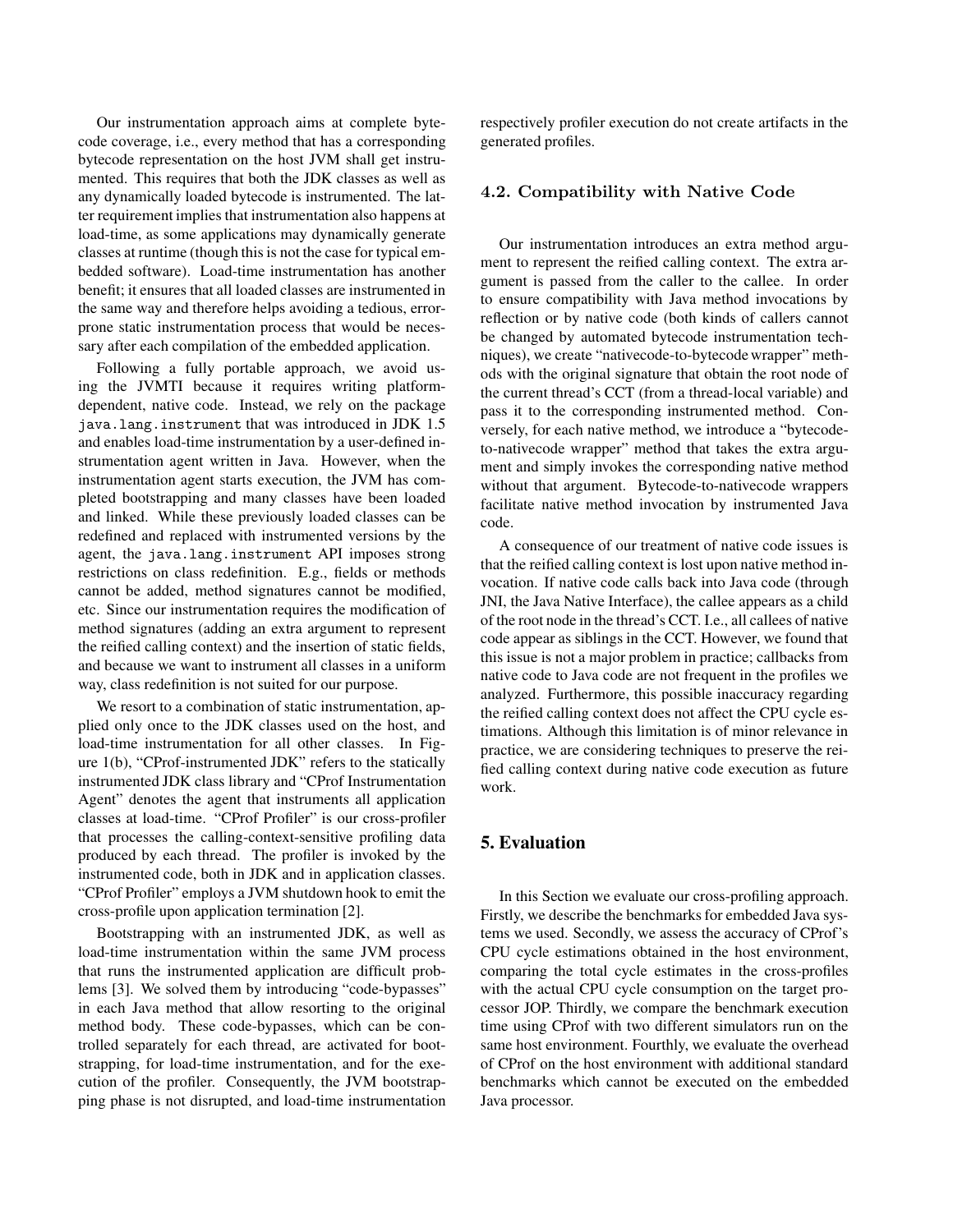Our instrumentation approach aims at complete bytecode coverage, i.e., every method that has a corresponding bytecode representation on the host JVM shall get instrumented. This requires that both the JDK classes as well as any dynamically loaded bytecode is instrumented. The latter requirement implies that instrumentation also happens at load-time, as some applications may dynamically generate classes at runtime (though this is not the case for typical embedded software). Load-time instrumentation has another benefit; it ensures that all loaded classes are instrumented in the same way and therefore helps avoiding a tedious, errorprone static instrumentation process that would be necessary after each compilation of the embedded application.

Following a fully portable approach, we avoid using the JVMTI because it requires writing platformdependent, native code. Instead, we rely on the package java.lang.instrument that was introduced in JDK 1.5 and enables load-time instrumentation by a user-defined instrumentation agent written in Java. However, when the instrumentation agent starts execution, the JVM has completed bootstrapping and many classes have been loaded and linked. While these previously loaded classes can be redefined and replaced with instrumented versions by the agent, the java.lang.instrument API imposes strong restrictions on class redefinition. E.g., fields or methods cannot be added, method signatures cannot be modified, etc. Since our instrumentation requires the modification of method signatures (adding an extra argument to represent the reified calling context) and the insertion of static fields, and because we want to instrument all classes in a uniform way, class redefinition is not suited for our purpose.

We resort to a combination of static instrumentation, applied only once to the JDK classes used on the host, and load-time instrumentation for all other classes. In Figure 1(b), "CProf-instrumented JDK" refers to the statically instrumented JDK class library and "CProf Instrumentation Agent" denotes the agent that instruments all application classes at load-time. "CProf Profiler" is our cross-profiler that processes the calling-context-sensitive profiling data produced by each thread. The profiler is invoked by the instrumented code, both in JDK and in application classes. "CProf Profiler" employs a JVM shutdown hook to emit the cross-profile upon application termination [2].

Bootstrapping with an instrumented JDK, as well as load-time instrumentation within the same JVM process that runs the instrumented application are difficult problems [3]. We solved them by introducing "code-bypasses" in each Java method that allow resorting to the original method body. These code-bypasses, which can be controlled separately for each thread, are activated for bootstrapping, for load-time instrumentation, and for the execution of the profiler. Consequently, the JVM bootstrapping phase is not disrupted, and load-time instrumentation respectively profiler execution do not create artifacts in the generated profiles.

#### **4.2. Compatibility with Native Code**

Our instrumentation introduces an extra method argument to represent the reified calling context. The extra argument is passed from the caller to the callee. In order to ensure compatibility with Java method invocations by reflection or by native code (both kinds of callers cannot be changed by automated bytecode instrumentation techniques), we create "nativecode-to-bytecode wrapper" methods with the original signature that obtain the root node of the current thread's CCT (from a thread-local variable) and pass it to the corresponding instrumented method. Conversely, for each native method, we introduce a "bytecodeto-nativecode wrapper" method that takes the extra argument and simply invokes the corresponding native method without that argument. Bytecode-to-nativecode wrappers facilitate native method invocation by instrumented Java code.

A consequence of our treatment of native code issues is that the reified calling context is lost upon native method invocation. If native code calls back into Java code (through JNI, the Java Native Interface), the callee appears as a child of the root node in the thread's CCT. I.e., all callees of native code appear as siblings in the CCT. However, we found that this issue is not a major problem in practice; callbacks from native code to Java code are not frequent in the profiles we analyzed. Furthermore, this possible inaccuracy regarding the reified calling context does not affect the CPU cycle estimations. Although this limitation is of minor relevance in practice, we are considering techniques to preserve the reified calling context during native code execution as future work.

### 5. Evaluation

In this Section we evaluate our cross-profiling approach. Firstly, we describe the benchmarks for embedded Java systems we used. Secondly, we assess the accuracy of CProf's CPU cycle estimations obtained in the host environment, comparing the total cycle estimates in the cross-profiles with the actual CPU cycle consumption on the target processor JOP. Thirdly, we compare the benchmark execution time using CProf with two different simulators run on the same host environment. Fourthly, we evaluate the overhead of CProf on the host environment with additional standard benchmarks which cannot be executed on the embedded Java processor.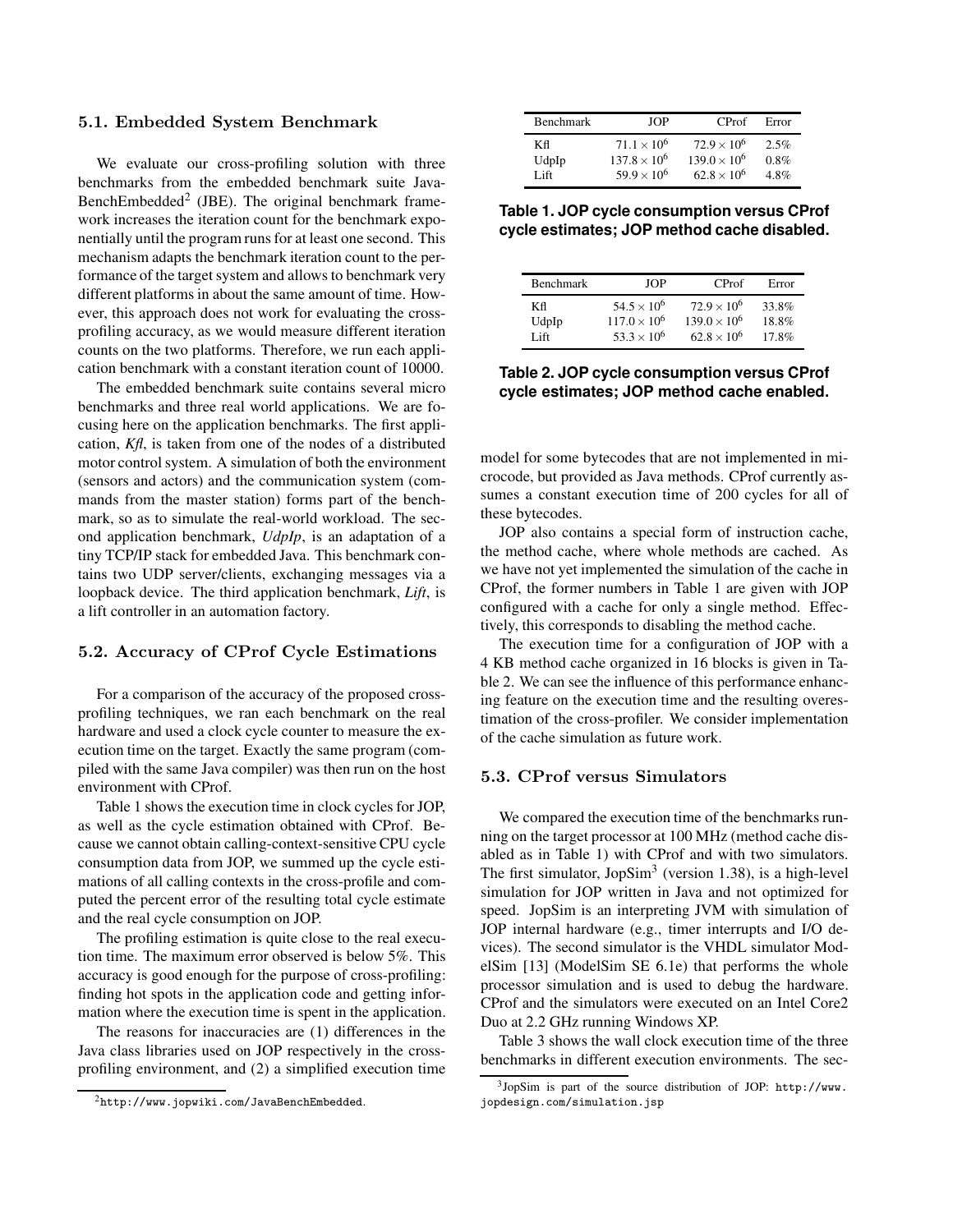#### **5.1. Embedded System Benchmark**

We evaluate our cross-profiling solution with three benchmarks from the embedded benchmark suite Java-BenchEmbedded<sup>2</sup> (JBE). The original benchmark framework increases the iteration count for the benchmark exponentially until the program runs for at least one second. This mechanism adapts the benchmark iteration count to the performance of the target system and allows to benchmark very different platforms in about the same amount of time. However, this approach does not work for evaluating the crossprofiling accuracy, as we would measure different iteration counts on the two platforms. Therefore, we run each application benchmark with a constant iteration count of 10000.

The embedded benchmark suite contains several micro benchmarks and three real world applications. We are focusing here on the application benchmarks. The first application, *Kfl*, is taken from one of the nodes of a distributed motor control system. A simulation of both the environment (sensors and actors) and the communication system (commands from the master station) forms part of the benchmark, so as to simulate the real-world workload. The second application benchmark, *UdpIp*, is an adaptation of a tiny TCP/IP stack for embedded Java. This benchmark contains two UDP server/clients, exchanging messages via a loopback device. The third application benchmark, *Lift*, is a lift controller in an automation factory.

#### **5.2. Accuracy of CProf Cycle Estimations**

For a comparison of the accuracy of the proposed crossprofiling techniques, we ran each benchmark on the real hardware and used a clock cycle counter to measure the execution time on the target. Exactly the same program (compiled with the same Java compiler) was then run on the host environment with CProf.

Table 1 shows the execution time in clock cycles for JOP, as well as the cycle estimation obtained with CProf. Because we cannot obtain calling-context-sensitive CPU cycle consumption data from JOP, we summed up the cycle estimations of all calling contexts in the cross-profile and computed the percent error of the resulting total cycle estimate and the real cycle consumption on JOP.

The profiling estimation is quite close to the real execution time. The maximum error observed is below 5%. This accuracy is good enough for the purpose of cross-profiling: finding hot spots in the application code and getting information where the execution time is spent in the application.

The reasons for inaccuracies are (1) differences in the Java class libraries used on JOP respectively in the crossprofiling environment, and (2) a simplified execution time

| Benchmark | <b>JOP</b>            | CProf                 | Error   |
|-----------|-----------------------|-----------------------|---------|
| Кfl       | $71.1 \times 10^{6}$  | $72.9 \times 10^{6}$  | 2.5%    |
| UdpIp     | $137.8 \times 10^{6}$ | $139.0 \times 10^{6}$ | 0.8%    |
| Lift      | $59.9 \times 10^{6}$  | $62.8 \times 10^{6}$  | $4.8\%$ |

**Table 1. JOP cycle consumption versus CProf cycle estimates; JOP method cache disabled.**

| Benchmark | <b>JOP</b>           | CProf                 | Error |
|-----------|----------------------|-----------------------|-------|
| Кfl       | $54.5 \times 10^{6}$ | $72.9 \times 10^{6}$  | 33.8% |
| UdpIp     | $117.0 \times 10^6$  | $139.0 \times 10^{6}$ | 18.8% |
| Lift.     | $53.3 \times 10^6$   | $62.8 \times 10^{6}$  | 17.8% |

**Table 2. JOP cycle consumption versus CProf cycle estimates; JOP method cache enabled.**

model for some bytecodes that are not implemented in microcode, but provided as Java methods. CProf currently assumes a constant execution time of 200 cycles for all of these bytecodes.

JOP also contains a special form of instruction cache, the method cache, where whole methods are cached. As we have not yet implemented the simulation of the cache in CProf, the former numbers in Table 1 are given with JOP configured with a cache for only a single method. Effectively, this corresponds to disabling the method cache.

The execution time for a configuration of JOP with a 4 KB method cache organized in 16 blocks is given in Table 2. We can see the influence of this performance enhancing feature on the execution time and the resulting overestimation of the cross-profiler. We consider implementation of the cache simulation as future work.

#### **5.3. CProf versus Simulators**

We compared the execution time of the benchmarks running on the target processor at 100 MHz (method cache disabled as in Table 1) with CProf and with two simulators. The first simulator,  $JopSim<sup>3</sup>$  (version 1.38), is a high-level simulation for JOP written in Java and not optimized for speed. JopSim is an interpreting JVM with simulation of JOP internal hardware (e.g., timer interrupts and I/O devices). The second simulator is the VHDL simulator ModelSim [13] (ModelSim SE 6.1e) that performs the whole processor simulation and is used to debug the hardware. CProf and the simulators were executed on an Intel Core2 Duo at 2.2 GHz running Windows XP.

Table 3 shows the wall clock execution time of the three benchmarks in different execution environments. The sec-

<sup>2</sup>http://www.jopwiki.com/JavaBenchEmbedded.

<sup>3</sup>JopSim is part of the source distribution of JOP: http://www. jopdesign.com/simulation.jsp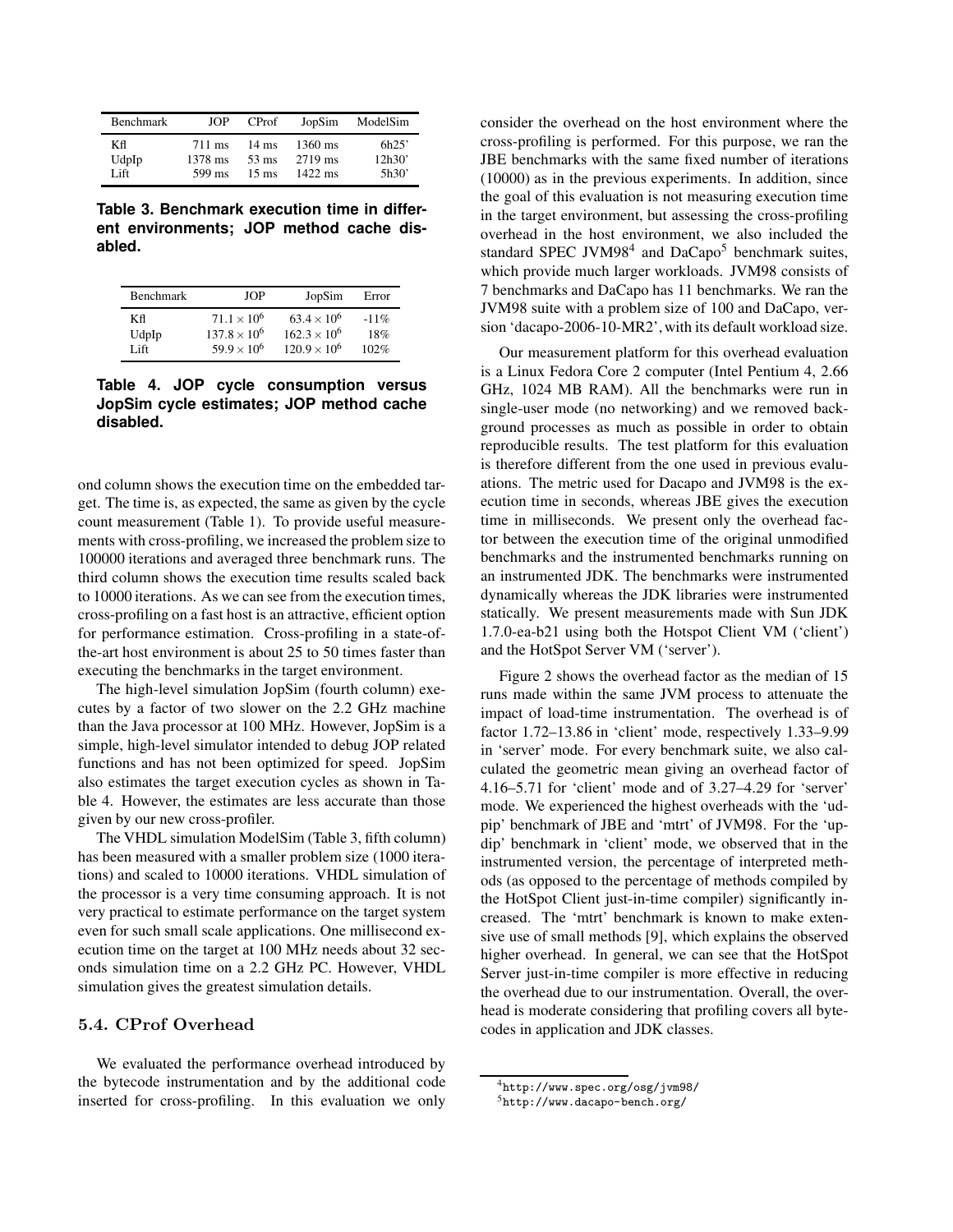| Benchmark | JOP     | CProf           | JopSim    | ModelSim |
|-----------|---------|-----------------|-----------|----------|
| Кfl       | 711 ms  | $14 \text{ ms}$ | 1360 ms   | 6h25'    |
| UdpIp     | 1378 ms | $53 \text{ ms}$ | $2719$ ms | 12h30'   |
| Lift      | 599 ms  | $15 \text{ ms}$ | $1422$ ms | 5h30'    |

**Table 3. Benchmark execution time in different environments; JOP method cache disabled.**

| Benchmark | IOP                   | JopSim                | Error  |
|-----------|-----------------------|-----------------------|--------|
| Кfl       | $71.1 \times 10^6$    | $63.4 \times 10^{6}$  | $-11%$ |
| UdpIp     | $137.8 \times 10^{6}$ | $162.3 \times 10^6$   | 18%    |
| Lift      | $59.9 \times 10^{6}$  | $120.9 \times 10^{6}$ | 102%   |

**Table 4. JOP cycle consumption versus JopSim cycle estimates; JOP method cache disabled.**

ond column shows the execution time on the embedded target. The time is, as expected, the same as given by the cycle count measurement (Table 1). To provide useful measurements with cross-profiling, we increased the problem size to 100000 iterations and averaged three benchmark runs. The third column shows the execution time results scaled back to 10000 iterations. As we can see from the execution times, cross-profiling on a fast host is an attractive, efficient option for performance estimation. Cross-profiling in a state-ofthe-art host environment is about 25 to 50 times faster than executing the benchmarks in the target environment.

The high-level simulation JopSim (fourth column) executes by a factor of two slower on the 2.2 GHz machine than the Java processor at 100 MHz. However, JopSim is a simple, high-level simulator intended to debug JOP related functions and has not been optimized for speed. JopSim also estimates the target execution cycles as shown in Table 4. However, the estimates are less accurate than those given by our new cross-profiler.

The VHDL simulation ModelSim (Table 3, fifth column) has been measured with a smaller problem size (1000 iterations) and scaled to 10000 iterations. VHDL simulation of the processor is a very time consuming approach. It is not very practical to estimate performance on the target system even for such small scale applications. One millisecond execution time on the target at 100 MHz needs about 32 seconds simulation time on a 2.2 GHz PC. However, VHDL simulation gives the greatest simulation details.

# **5.4. CProf Overhead**

We evaluated the performance overhead introduced by the bytecode instrumentation and by the additional code inserted for cross-profiling. In this evaluation we only

consider the overhead on the host environment where the cross-profiling is performed. For this purpose, we ran the JBE benchmarks with the same fixed number of iterations (10000) as in the previous experiments. In addition, since the goal of this evaluation is not measuring execution time in the target environment, but assessing the cross-profiling overhead in the host environment, we also included the standard SPEC JVM98<sup>4</sup> and DaCapo<sup>5</sup> benchmark suites, which provide much larger workloads. JVM98 consists of 7 benchmarks and DaCapo has 11 benchmarks. We ran the JVM98 suite with a problem size of 100 and DaCapo, version 'dacapo-2006-10-MR2', with its default workload size.

Our measurement platform for this overhead evaluation is a Linux Fedora Core 2 computer (Intel Pentium 4, 2.66 GHz, 1024 MB RAM). All the benchmarks were run in single-user mode (no networking) and we removed background processes as much as possible in order to obtain reproducible results. The test platform for this evaluation is therefore different from the one used in previous evaluations. The metric used for Dacapo and JVM98 is the execution time in seconds, whereas JBE gives the execution time in milliseconds. We present only the overhead factor between the execution time of the original unmodified benchmarks and the instrumented benchmarks running on an instrumented JDK. The benchmarks were instrumented dynamically whereas the JDK libraries were instrumented statically. We present measurements made with Sun JDK 1.7.0-ea-b21 using both the Hotspot Client VM ('client') and the HotSpot Server VM ('server').

Figure 2 shows the overhead factor as the median of 15 runs made within the same JVM process to attenuate the impact of load-time instrumentation. The overhead is of factor 1.72–13.86 in 'client' mode, respectively 1.33–9.99 in 'server' mode. For every benchmark suite, we also calculated the geometric mean giving an overhead factor of 4.16–5.71 for 'client' mode and of 3.27–4.29 for 'server' mode. We experienced the highest overheads with the 'udpip' benchmark of JBE and 'mtrt' of JVM98. For the 'updip' benchmark in 'client' mode, we observed that in the instrumented version, the percentage of interpreted methods (as opposed to the percentage of methods compiled by the HotSpot Client just-in-time compiler) significantly increased. The 'mtrt' benchmark is known to make extensive use of small methods [9], which explains the observed higher overhead. In general, we can see that the HotSpot Server just-in-time compiler is more effective in reducing the overhead due to our instrumentation. Overall, the overhead is moderate considering that profiling covers all bytecodes in application and JDK classes.

<sup>4</sup>http://www.spec.org/osg/jvm98/

<sup>5</sup>http://www.dacapo-bench.org/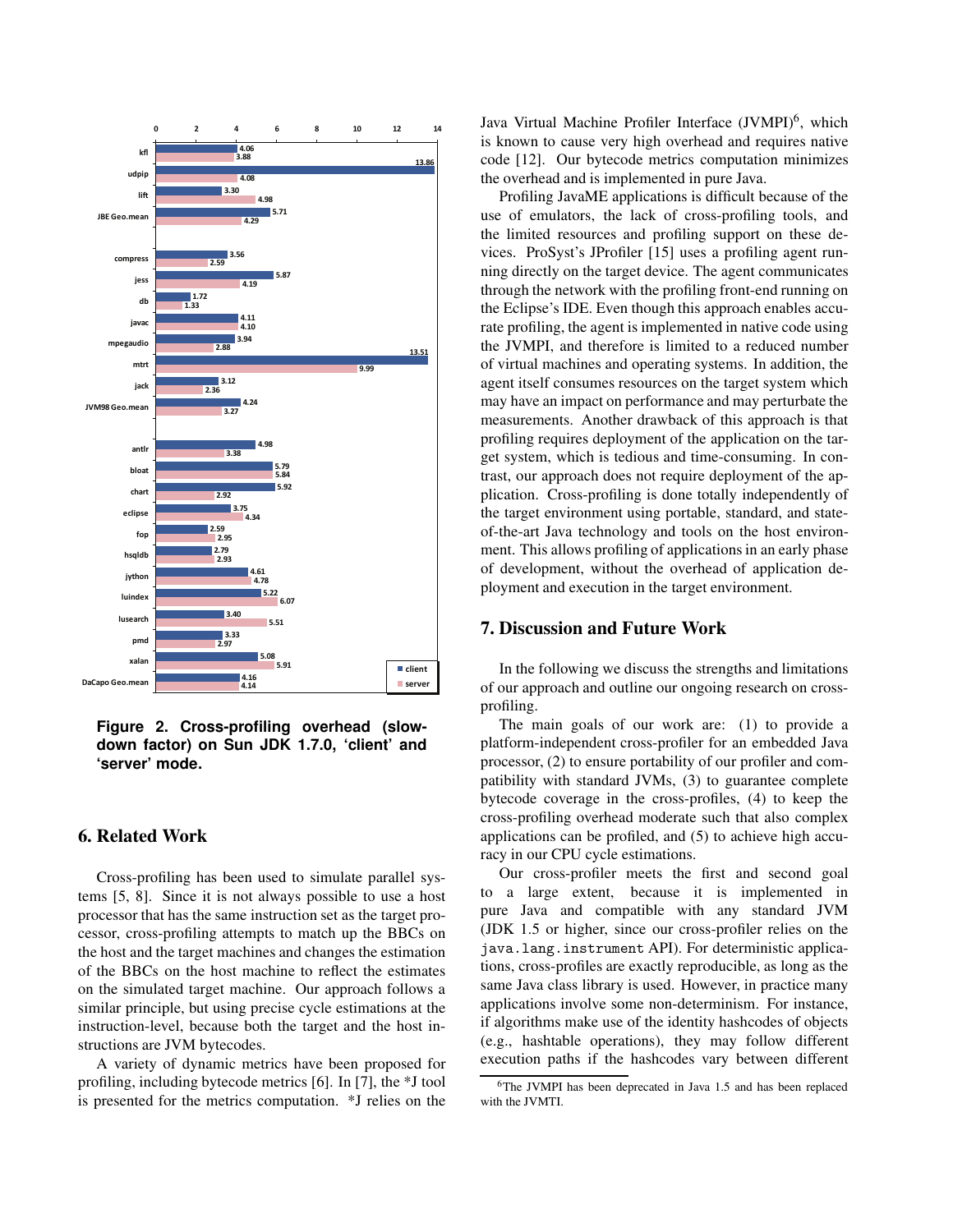

**Figure 2. Cross-profiling overhead (slowdown factor) on Sun JDK 1.7.0, 'client' and 'server' mode.**

# 6. Related Work

Cross-profiling has been used to simulate parallel systems [5, 8]. Since it is not always possible to use a host processor that has the same instruction set as the target processor, cross-profiling attempts to match up the BBCs on the host and the target machines and changes the estimation of the BBCs on the host machine to reflect the estimates on the simulated target machine. Our approach follows a similar principle, but using precise cycle estimations at the instruction-level, because both the target and the host instructions are JVM bytecodes.

A variety of dynamic metrics have been proposed for profiling, including bytecode metrics [6]. In [7], the \*J tool is presented for the metrics computation. \*J relies on the Java Virtual Machine Profiler Interface (JVMPI)<sup>6</sup>, which is known to cause very high overhead and requires native code [12]. Our bytecode metrics computation minimizes the overhead and is implemented in pure Java.

Profiling JavaME applications is difficult because of the use of emulators, the lack of cross-profiling tools, and the limited resources and profiling support on these devices. ProSyst's JProfiler [15] uses a profiling agent running directly on the target device. The agent communicates through the network with the profiling front-end running on the Eclipse's IDE. Even though this approach enables accurate profiling, the agent is implemented in native code using the JVMPI, and therefore is limited to a reduced number of virtual machines and operating systems. In addition, the agent itself consumes resources on the target system which may have an impact on performance and may perturbate the measurements. Another drawback of this approach is that profiling requires deployment of the application on the target system, which is tedious and time-consuming. In contrast, our approach does not require deployment of the application. Cross-profiling is done totally independently of the target environment using portable, standard, and stateof-the-art Java technology and tools on the host environment. This allows profiling of applications in an early phase of development, without the overhead of application deployment and execution in the target environment.

#### 7. Discussion and Future Work

In the following we discuss the strengths and limitations of our approach and outline our ongoing research on crossprofiling.

The main goals of our work are: (1) to provide a platform-independent cross-profiler for an embedded Java processor, (2) to ensure portability of our profiler and compatibility with standard JVMs, (3) to guarantee complete bytecode coverage in the cross-profiles, (4) to keep the cross-profiling overhead moderate such that also complex applications can be profiled, and (5) to achieve high accuracy in our CPU cycle estimations.

Our cross-profiler meets the first and second goal to a large extent, because it is implemented in pure Java and compatible with any standard JVM (JDK 1.5 or higher, since our cross-profiler relies on the java.lang.instrument API). For deterministic applications, cross-profiles are exactly reproducible, as long as the same Java class library is used. However, in practice many applications involve some non-determinism. For instance, if algorithms make use of the identity hashcodes of objects (e.g., hashtable operations), they may follow different execution paths if the hashcodes vary between different

<sup>6</sup>The JVMPI has been deprecated in Java 1.5 and has been replaced with the JVMTI.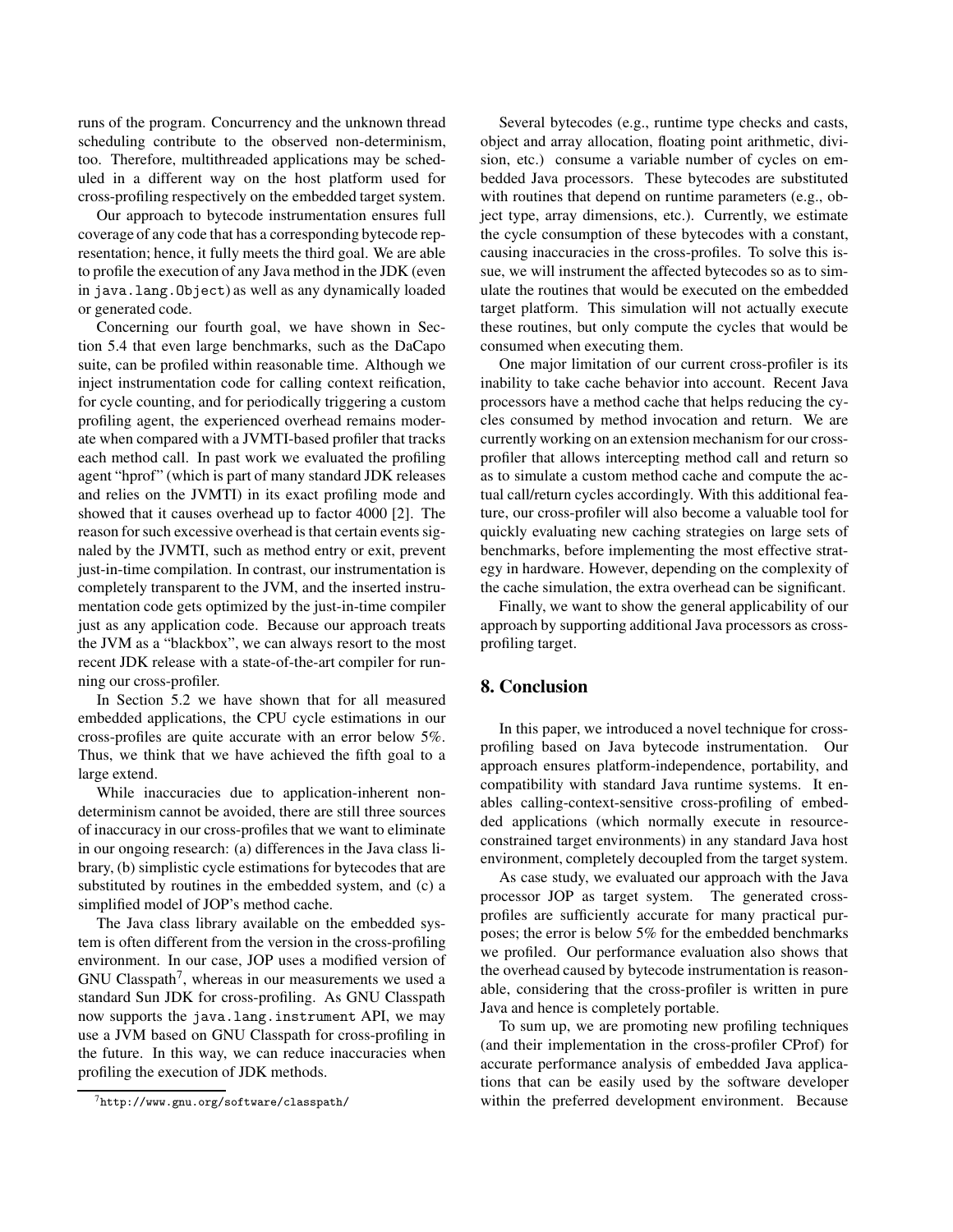runs of the program. Concurrency and the unknown thread scheduling contribute to the observed non-determinism, too. Therefore, multithreaded applications may be scheduled in a different way on the host platform used for cross-profiling respectively on the embedded target system.

Our approach to bytecode instrumentation ensures full coverage of any code that has a corresponding bytecode representation; hence, it fully meets the third goal. We are able to profile the execution of any Java method in the JDK (even in java.lang.Object) as well as any dynamically loaded or generated code.

Concerning our fourth goal, we have shown in Section 5.4 that even large benchmarks, such as the DaCapo suite, can be profiled within reasonable time. Although we inject instrumentation code for calling context reification, for cycle counting, and for periodically triggering a custom profiling agent, the experienced overhead remains moderate when compared with a JVMTI-based profiler that tracks each method call. In past work we evaluated the profiling agent "hprof" (which is part of many standard JDK releases and relies on the JVMTI) in its exact profiling mode and showed that it causes overhead up to factor 4000 [2]. The reason for such excessive overhead is that certain events signaled by the JVMTI, such as method entry or exit, prevent just-in-time compilation. In contrast, our instrumentation is completely transparent to the JVM, and the inserted instrumentation code gets optimized by the just-in-time compiler just as any application code. Because our approach treats the JVM as a "blackbox", we can always resort to the most recent JDK release with a state-of-the-art compiler for running our cross-profiler.

In Section 5.2 we have shown that for all measured embedded applications, the CPU cycle estimations in our cross-profiles are quite accurate with an error below 5%. Thus, we think that we have achieved the fifth goal to a large extend.

While inaccuracies due to application-inherent nondeterminism cannot be avoided, there are still three sources of inaccuracy in our cross-profiles that we want to eliminate in our ongoing research: (a) differences in the Java class library, (b) simplistic cycle estimations for bytecodes that are substituted by routines in the embedded system, and (c) a simplified model of JOP's method cache.

The Java class library available on the embedded system is often different from the version in the cross-profiling environment. In our case, JOP uses a modified version of GNU Classpath<sup>7</sup>, whereas in our measurements we used a standard Sun JDK for cross-profiling. As GNU Classpath now supports the java.lang.instrument API, we may use a JVM based on GNU Classpath for cross-profiling in the future. In this way, we can reduce inaccuracies when profiling the execution of JDK methods.

Several bytecodes (e.g., runtime type checks and casts, object and array allocation, floating point arithmetic, division, etc.) consume a variable number of cycles on embedded Java processors. These bytecodes are substituted with routines that depend on runtime parameters (e.g., object type, array dimensions, etc.). Currently, we estimate the cycle consumption of these bytecodes with a constant, causing inaccuracies in the cross-profiles. To solve this issue, we will instrument the affected bytecodes so as to simulate the routines that would be executed on the embedded target platform. This simulation will not actually execute these routines, but only compute the cycles that would be consumed when executing them.

One major limitation of our current cross-profiler is its inability to take cache behavior into account. Recent Java processors have a method cache that helps reducing the cycles consumed by method invocation and return. We are currently working on an extension mechanism for our crossprofiler that allows intercepting method call and return so as to simulate a custom method cache and compute the actual call/return cycles accordingly. With this additional feature, our cross-profiler will also become a valuable tool for quickly evaluating new caching strategies on large sets of benchmarks, before implementing the most effective strategy in hardware. However, depending on the complexity of the cache simulation, the extra overhead can be significant.

Finally, we want to show the general applicability of our approach by supporting additional Java processors as crossprofiling target.

# 8. Conclusion

In this paper, we introduced a novel technique for crossprofiling based on Java bytecode instrumentation. Our approach ensures platform-independence, portability, and compatibility with standard Java runtime systems. It enables calling-context-sensitive cross-profiling of embedded applications (which normally execute in resourceconstrained target environments) in any standard Java host environment, completely decoupled from the target system.

As case study, we evaluated our approach with the Java processor JOP as target system. The generated crossprofiles are sufficiently accurate for many practical purposes; the error is below 5% for the embedded benchmarks we profiled. Our performance evaluation also shows that the overhead caused by bytecode instrumentation is reasonable, considering that the cross-profiler is written in pure Java and hence is completely portable.

To sum up, we are promoting new profiling techniques (and their implementation in the cross-profiler CProf) for accurate performance analysis of embedded Java applications that can be easily used by the software developer within the preferred development environment. Because

 $^{7}$ http://www.gnu.org/software/classpath/